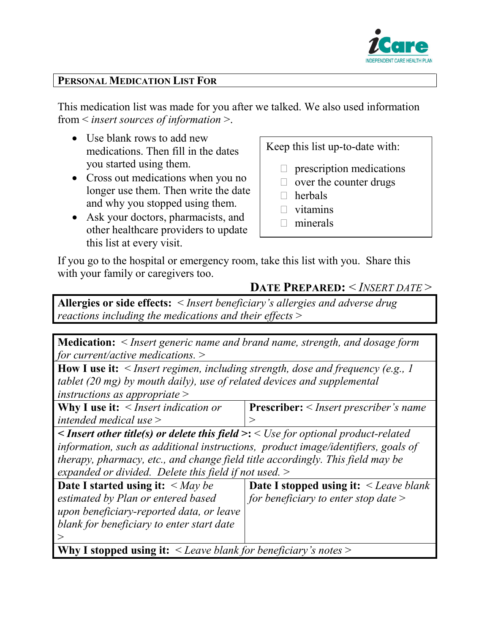

## **PERSONAL MEDICATION LIST FOR**

This medication list was made for you after we talked. We also used information from < *insert sources of information* >.

- Use blank rows to add new medications. Then fill in the dates you started using them.
- Cross out medications when you no longer use them. Then write the date and why you stopped using them.
- Ask your doctors, pharmacists, and other healthcare providers to update this list at every visit.

Keep this list up-to-date with:

- $\Box$  prescription medications
- $\Box$  over the counter drugs
- $\Box$  herbals
- $\Box$  vitamins
- $\Box$  minerals

If you go to the hospital or emergency room, take this list with you. Share this with your family or caregivers too.

## **DATE PREPARED:** < *INSERT DATE* >

**Allergies or side effects:** < *Insert beneficiary's allergies and adverse drug reactions including the medications and their effects* >

**Medication:** < *Insert generic name and brand name, strength, and dosage form for current/active medications.* >

**How I use it:** < *Insert regimen, including strength, dose and frequency (e.g., 1 tablet (20 mg) by mouth daily), use of related devices and supplemental instructions as appropriate* >

| <b>Why I use it:</b> $\leq$ <i>Insert indication or</i> | <b>Prescriber:</b> $\leq$ <i>Insert prescriber's name</i> |
|---------------------------------------------------------|-----------------------------------------------------------|
| intended medical use $>$                                |                                                           |

*< Insert other title(s) or delete this field* **>:** < *Use for optional product-related information, such as additional instructions, product image/identifiers, goals of therapy, pharmacy, etc., and change field title accordingly. This field may be expanded or divided. Delete this field if not used.* >

| Date I started using it: $\langle May\ be$ | <b>Date I stopped using it:</b> $\leq$ <i>Leave blank</i> |
|--------------------------------------------|-----------------------------------------------------------|
| estimated by Plan or entered based         | for beneficiary to enter stop date $>$                    |
| upon beneficiary-reported data, or leave   |                                                           |
| blank for beneficiary to enter start date  |                                                           |
|                                            |                                                           |
|                                            |                                                           |

**Why I stopped using it:** < *Leave blank for beneficiary's notes* >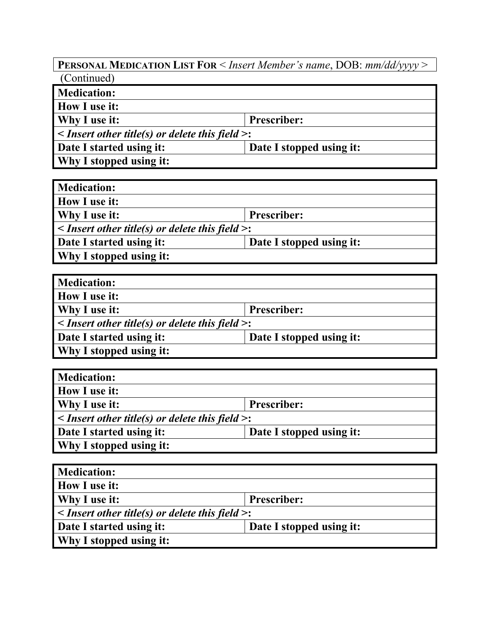**PERSONAL MEDICATION LIST FOR** < *Insert Member's name*, DOB: *mm/dd/yyyy* > (Continued)

| <b>Medication:</b>                                         |                          |  |
|------------------------------------------------------------|--------------------------|--|
| <b>How I use it:</b>                                       |                          |  |
| <b>Why I use it:</b>                                       | <b>Prescriber:</b>       |  |
| $\leq$ Insert other title(s) or delete this field $\geq$ : |                          |  |
| Date I started using it:                                   | Date I stopped using it: |  |
| <b>Why I stopped using it:</b>                             |                          |  |

| <b>Medication:</b>                                         |                          |  |
|------------------------------------------------------------|--------------------------|--|
| How I use it:                                              |                          |  |
| Why I use it:<br><b>Prescriber:</b>                        |                          |  |
| $\leq$ Insert other title(s) or delete this field $\geq$ : |                          |  |
| Date I started using it:                                   | Date I stopped using it: |  |
| Why I stopped using it:                                    |                          |  |

| <b>Medication:</b>                                         |                          |
|------------------------------------------------------------|--------------------------|
| How I use it:                                              |                          |
| Why I use it:                                              | <b>Prescriber:</b>       |
| $\leq$ Insert other title(s) or delete this field $\geq$ : |                          |
| Date I started using it:                                   | Date I stopped using it: |
| Why I stopped using it:                                    |                          |

| <b>Medication:</b>                                         |                          |
|------------------------------------------------------------|--------------------------|
| How I use it:                                              |                          |
| Why I use it:<br><b>Prescriber:</b>                        |                          |
| $\leq$ Insert other title(s) or delete this field $\geq$ : |                          |
| Date I started using it:                                   | Date I stopped using it: |
| Why I stopped using it:                                    |                          |

| <b>Medication:</b>                                         |                          |
|------------------------------------------------------------|--------------------------|
| <b>How I use it:</b>                                       |                          |
| Why I use it:<br><b>Prescriber:</b>                        |                          |
| $\leq$ Insert other title(s) or delete this field $\geq$ : |                          |
| Date I started using it:                                   | Date I stopped using it: |
| <b>Why I stopped using it:</b>                             |                          |